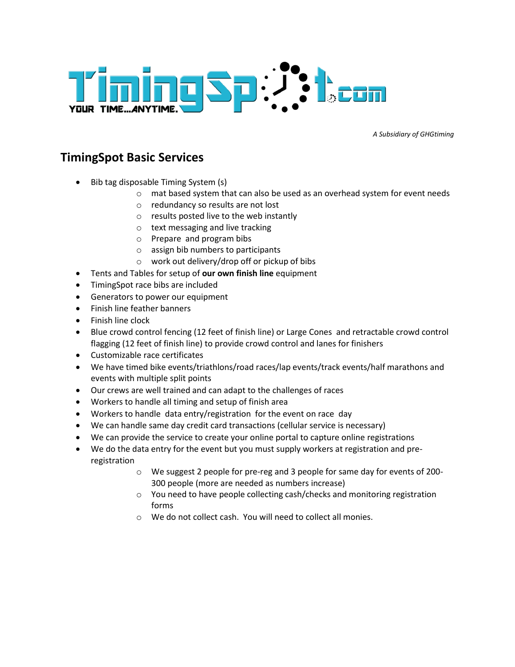

*A Subsidiary of GHGtiming*

## **TimingSpot Basic Services**

- Bib tag disposable Timing System (s)
	- o mat based system that can also be used as an overhead system for event needs
	- o redundancy so results are not lost
	- o results posted live to the web instantly
	- o text messaging and live tracking
	- o Prepare and program bibs
	- o assign bib numbers to participants
	- o work out delivery/drop off or pickup of bibs
- Tents and Tables for setup of **our own finish line** equipment
- TimingSpot race bibs are included
- **•** Generators to power our equipment
- Finish line feather banners
- Finish line clock
- Blue crowd control fencing (12 feet of finish line) or Large Cones and retractable crowd control flagging (12 feet of finish line) to provide crowd control and lanes for finishers
- Customizable race certificates
- We have timed bike events/triathlons/road races/lap events/track events/half marathons and events with multiple split points
- Our crews are well trained and can adapt to the challenges of races
- Workers to handle all timing and setup of finish area
- Workers to handle data entry/registration for the event on race day
- We can handle same day credit card transactions (cellular service is necessary)
- We can provide the service to create your online portal to capture online registrations
- We do the data entry for the event but you must supply workers at registration and preregistration
	- o We suggest 2 people for pre-reg and 3 people for same day for events of 200- 300 people (more are needed as numbers increase)
	- o You need to have people collecting cash/checks and monitoring registration forms
	- o We do not collect cash. You will need to collect all monies.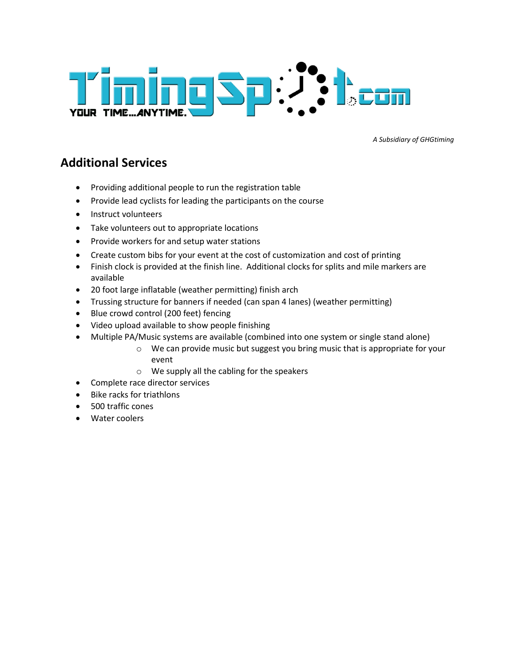

*A Subsidiary of GHGtiming*

### **Additional Services**

- Providing additional people to run the registration table
- Provide lead cyclists for leading the participants on the course
- Instruct volunteers
- Take volunteers out to appropriate locations
- Provide workers for and setup water stations
- Create custom bibs for your event at the cost of customization and cost of printing
- Finish clock is provided at the finish line. Additional clocks for splits and mile markers are available
- 20 foot large inflatable (weather permitting) finish arch
- Trussing structure for banners if needed (can span 4 lanes) (weather permitting)
- Blue crowd control (200 feet) fencing
- Video upload available to show people finishing
- Multiple PA/Music systems are available (combined into one system or single stand alone)
	- o We can provide music but suggest you bring music that is appropriate for your event
	- o We supply all the cabling for the speakers
- Complete race director services
- Bike racks for triathlons
- 500 traffic cones
- Water coolers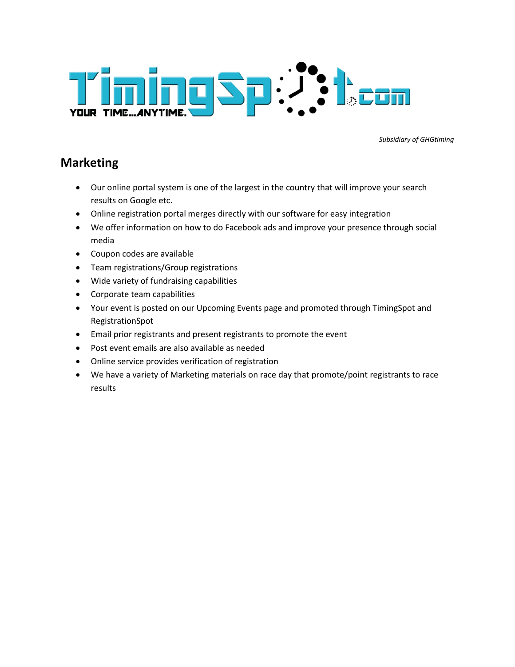

*Subsidiary of GHGtiming*

### **Marketing**

- Our online portal system is one of the largest in the country that will improve your search results on Google etc.
- Online registration portal merges directly with our software for easy integration
- We offer information on how to do Facebook ads and improve your presence through social media
- Coupon codes are available
- Team registrations/Group registrations
- Wide variety of fundraising capabilities
- Corporate team capabilities
- Your event is posted on our Upcoming Events page and promoted through TimingSpot and RegistrationSpot
- Email prior registrants and present registrants to promote the event
- Post event emails are also available as needed
- Online service provides verification of registration
- We have a variety of Marketing materials on race day that promote/point registrants to race results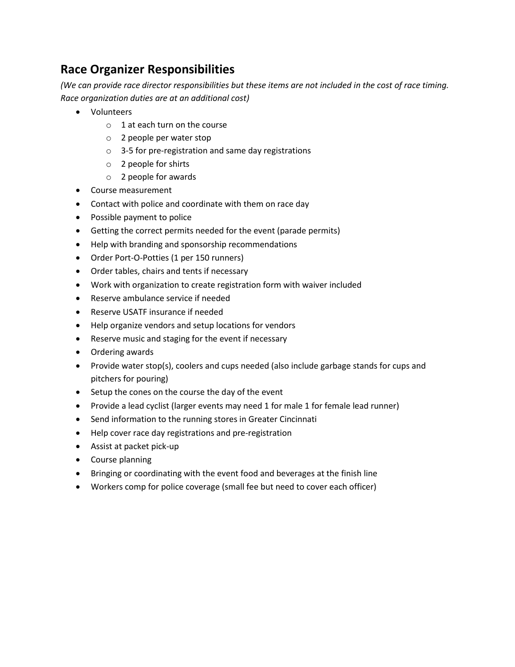# **Race Organizer Responsibilities**

*(We can provide race director responsibilities but these items are not included in the cost of race timing. Race organization duties are at an additional cost)*

- Volunteers
	- $\circ$  1 at each turn on the course
	- o 2 people per water stop
	- o 3-5 for pre-registration and same day registrations
	- o 2 people for shirts
	- o 2 people for awards
- Course measurement
- Contact with police and coordinate with them on race day
- Possible payment to police
- Getting the correct permits needed for the event (parade permits)
- Help with branding and sponsorship recommendations
- Order Port-O-Potties (1 per 150 runners)
- Order tables, chairs and tents if necessary
- Work with organization to create registration form with waiver included
- Reserve ambulance service if needed
- Reserve USATF insurance if needed
- Help organize vendors and setup locations for vendors
- Reserve music and staging for the event if necessary
- Ordering awards
- Provide water stop(s), coolers and cups needed (also include garbage stands for cups and pitchers for pouring)
- Setup the cones on the course the day of the event
- Provide a lead cyclist (larger events may need 1 for male 1 for female lead runner)
- Send information to the running stores in Greater Cincinnati
- Help cover race day registrations and pre-registration
- Assist at packet pick-up
- Course planning
- Bringing or coordinating with the event food and beverages at the finish line
- Workers comp for police coverage (small fee but need to cover each officer)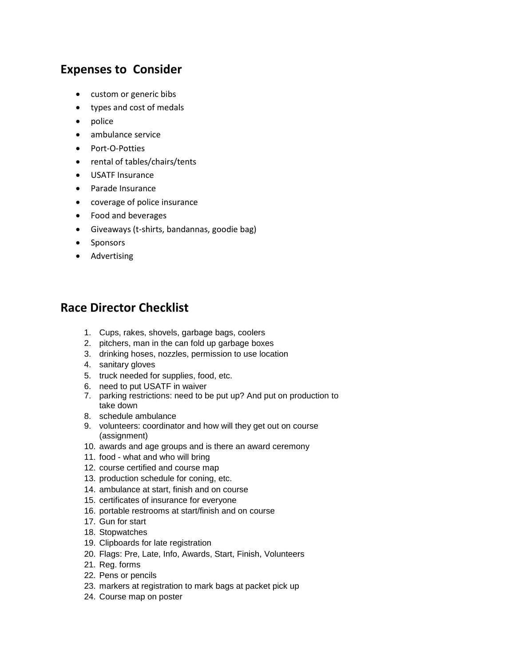## **Expenses to Consider**

- custom or generic bibs
- types and cost of medals
- police
- ambulance service
- Port-O-Potties
- rental of tables/chairs/tents
- USATF Insurance
- Parade Insurance
- coverage of police insurance
- Food and beverages
- Giveaways (t-shirts, bandannas, goodie bag)
- Sponsors
- Advertising

#### **Race Director Checklist**

- 1. Cups, rakes, shovels, garbage bags, coolers
- 2. pitchers, man in the can fold up garbage boxes
- 3. drinking hoses, nozzles, permission to use location
- 4. sanitary gloves
- 5. truck needed for supplies, food, etc.
- 6. need to put USATF in waiver
- 7. parking restrictions: need to be put up? And put on production to take down
- 8. schedule ambulance
- 9. volunteers: coordinator and how will they get out on course (assignment)
- 10. awards and age groups and is there an award ceremony
- 11. food what and who will bring
- 12. course certified and course map
- 13. production schedule for coning, etc.
- 14. ambulance at start, finish and on course
- 15. certificates of insurance for everyone
- 16. portable restrooms at start/finish and on course
- 17. Gun for start
- 18. Stopwatches
- 19. Clipboards for late registration
- 20. Flags: Pre, Late, Info, Awards, Start, Finish, Volunteers
- 21. Reg. forms
- 22. Pens or pencils
- 23. markers at registration to mark bags at packet pick up
- 24. Course map on poster